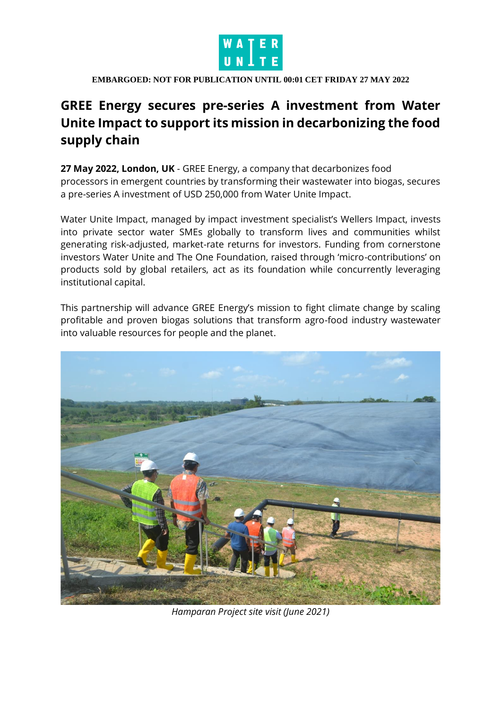

#### **EMBARGOED: NOT FOR PUBLICATION UNTIL 00:01 CET FRIDAY 27 MAY 2022**

# **GREE Energy secures pre-series A investment from Water Unite Impact to support its mission in decarbonizing the food supply chain**

**27 May 2022, London, UK** - GREE Energy, a company that decarbonizes food processors in emergent countries by transforming their wastewater into biogas, secures a pre-series A investment of USD 250,000 from Water Unite Impact.

Water Unite Impact, managed by impact investment specialist's Wellers Impact, invests into private sector water SMEs globally to transform lives and communities whilst generating risk-adjusted, market-rate returns for investors. Funding from cornerstone investors Water Unite and The One Foundation, raised through 'micro-contributions' on products sold by global retailers, act as its foundation while concurrently leveraging institutional capital.

This partnership will advance GREE Energy's mission to fight climate change by scaling profitable and proven biogas solutions that transform agro-food industry wastewater into valuable resources for people and the planet.



*Hamparan Project site visit (June 2021)*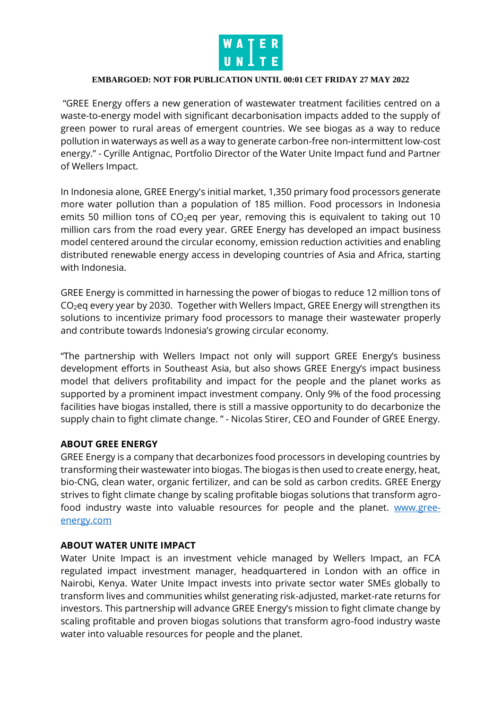

## **EMBARGOED: NOT FOR PUBLICATION UNTIL 00:01 CET FRIDAY 27 MAY 2022**

"GREE Energy offers a new generation of wastewater treatment facilities centred on a waste-to-energy model with significant decarbonisation impacts added to the supply of green power to rural areas of emergent countries. We see biogas as a way to reduce pollution in waterways as well as a way to generate carbon-free non-intermittent low-cost energy." - Cyrille Antignac, Portfolio Director of the Water Unite Impact fund and Partner of Wellers Impact.

In Indonesia alone, GREE Energy's initial market, 1,350 primary food processors generate more water pollution than a population of 185 million. Food processors in Indonesia emits 50 million tons of  $CO<sub>2</sub>$ eq per year, removing this is equivalent to taking out 10 million cars from the road every year. GREE Energy has developed an impact business model centered around the circular economy, emission reduction activities and enabling distributed renewable energy access in developing countries of Asia and Africa, starting with Indonesia.

GREE Energy is committed in harnessing the power of biogas to reduce 12 million tons of  $CO<sub>2</sub>$ eq every year by 2030. Together with Wellers Impact, GREE Energy will strengthen its solutions to incentivize primary food processors to manage their wastewater properly and contribute towards Indonesia's growing circular economy.

"The partnership with Wellers Impact not only will support GREE Energy's business development efforts in Southeast Asia, but also shows GREE Energy's impact business model that delivers profitability and impact for the people and the planet works as supported by a prominent impact investment company. Only 9% of the food processing facilities have biogas installed, there is still a massive opportunity to do decarbonize the supply chain to fight climate change. " - Nicolas Stirer, CEO and Founder of GREE Energy.

## **ABOUT GREE ENERGY**

GREE Energy is a company that decarbonizes food processors in developing countries by transforming their wastewater into biogas. The biogas is then used to create energy, heat, bio-CNG, clean water, organic fertilizer, and can be sold as carbon credits. GREE Energy strives to fight climate change by scaling profitable biogas solutions that transform agrofood industry waste into valuable resources for people and the planet. [www.gree](http://www.gree-energy.com/)[energy.com](http://www.gree-energy.com/)

## **ABOUT WATER UNITE IMPACT**

Water Unite Impact is an investment vehicle managed by Wellers Impact, an FCA regulated impact investment manager, headquartered in London with an office in Nairobi, Kenya. Water Unite Impact invests into private sector water SMEs globally to transform lives and communities whilst generating risk-adjusted, market-rate returns for investors. This partnership will advance GREE Energy's mission to fight climate change by scaling profitable and proven biogas solutions that transform agro-food industry waste water into valuable resources for people and the planet.